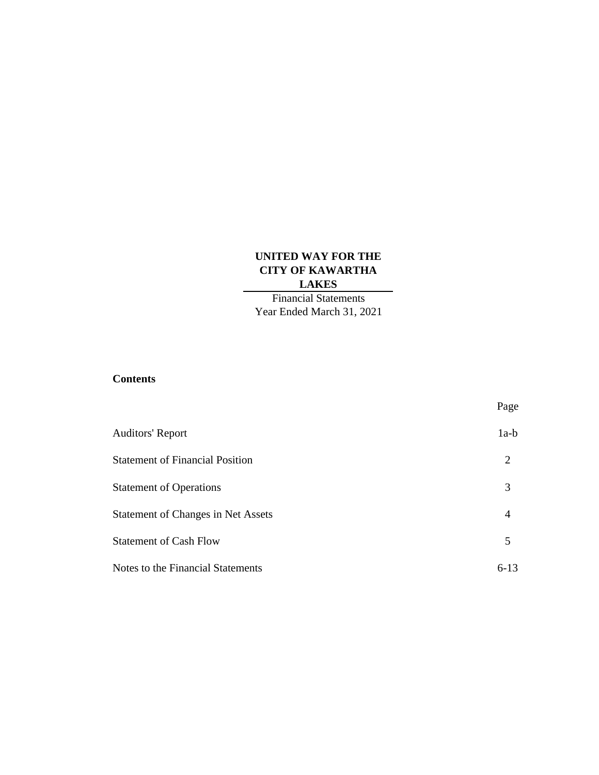Financial Statements Year Ended March 31, 2021

## **Contents**

|                                           | Page     |
|-------------------------------------------|----------|
| <b>Auditors' Report</b>                   | $1a-b$   |
| <b>Statement of Financial Position</b>    | 2        |
| <b>Statement of Operations</b>            | 3        |
| <b>Statement of Changes in Net Assets</b> | 4        |
| <b>Statement of Cash Flow</b>             | 5        |
| Notes to the Financial Statements         | $6 - 13$ |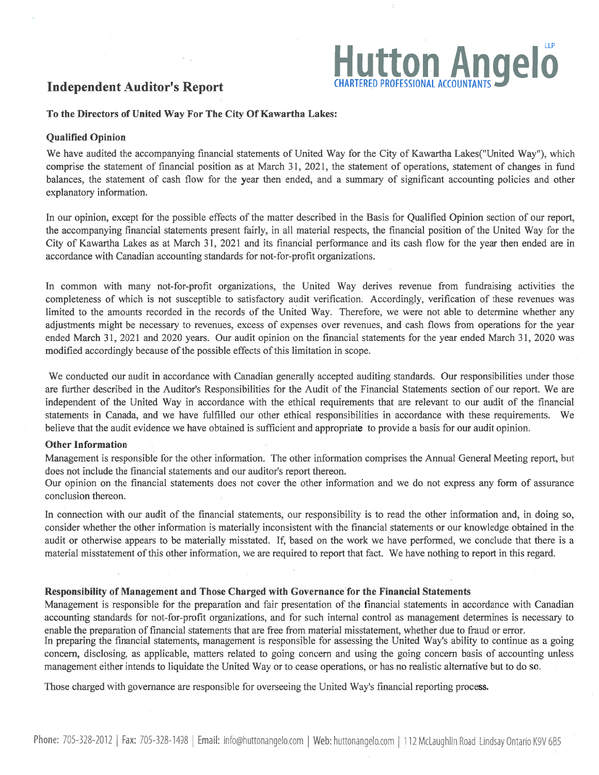## **Independent Auditor's Report**

# Hutton Angelo

#### To the Directors of United Way For The City Of Kawartha Lakes:

### **Qualified Opinion**

We have audited the accompanying financial statements of United Way for the City of Kawartha Lakes("United Way"), which comprise the statement of financial position as at March 31, 2021, the statement of operations, statement of changes in fund balances, the statement of cash flow for the year then ended, and a summary of significant accounting policies and other explanatory information.

In our opinion, except for the possible effects of the matter described in the Basis for Qualified Opinion section of our report, the accompanying financial statements present fairly, in all material respects, the financial position of the United Way for the City of Kawartha Lakes as at March 31, 2021 and its financial performance and its cash flow for the year then ended are in accordance with Canadian accounting standards for not-for-profit organizations.

In common with many not-for-profit organizations, the United Way derives revenue from fundraising activities the completeness of which is not susceptible to satisfactory audit verification. Accordingly, verification of these revenues was limited to the amounts recorded in the records of the United Way. Therefore, we were not able to determine whether any adjustments might be necessary to revenues, excess of expenses over revenues, and cash flows from operations for the year ended March 31, 2021 and 2020 years. Our audit opinion on the financial statements for the year ended March 31, 2020 was modified accordingly because of the possible effects of this limitation in scope.

We conducted our audit in accordance with Canadian generally accepted auditing standards. Our responsibilities under those are further described in the Auditor's Responsibilities for the Audit of the Financial Statements section of our report. We are independent of the United Way in accordance with the ethical requirements that are relevant to our audit of the financial statements in Canada, and we have fulfilled our other ethical responsibilities in accordance with these requirements. We believe that the audit evidence we have obtained is sufficient and appropriate to provide a basis for our audit opinion.

### **Other Information**

Management is responsible for the other information. The other information comprises the Annual General Meeting report, but does not include the financial statements and our auditor's report thereon.

Our opinion on the financial statements does not cover the other information and we do not express any form of assurance conclusion thereon.

In connection with our audit of the financial statements, our responsibility is to read the other information and, in doing so, consider whether the other information is materially inconsistent with the financial statements or our knowledge obtained in the audit or otherwise appears to be materially misstated. If, based on the work we have performed, we conclude that there is a material misstatement of this other information, we are required to report that fact. We have nothing to report in this regard.

### Responsibility of Management and Those Charged with Governance for the Financial Statements

Management is responsible for the preparation and fair presentation of the financial statements in accordance with Canadian accounting standards for not-for-profit organizations, and for such internal control as management determines is necessary to enable the preparation of financial statements that are free from material misstatement, whether due to fraud or error.

In preparing the financial statements, management is responsible for assessing the United Way's ability to continue as a going concern, disclosing, as applicable, matters related to going concern and using the going concern basis of accounting unless management either intends to liquidate the United Way or to cease operations, or has no realistic alternative but to do so.

Those charged with governance are responsible for overseeing the United Way's financial reporting process.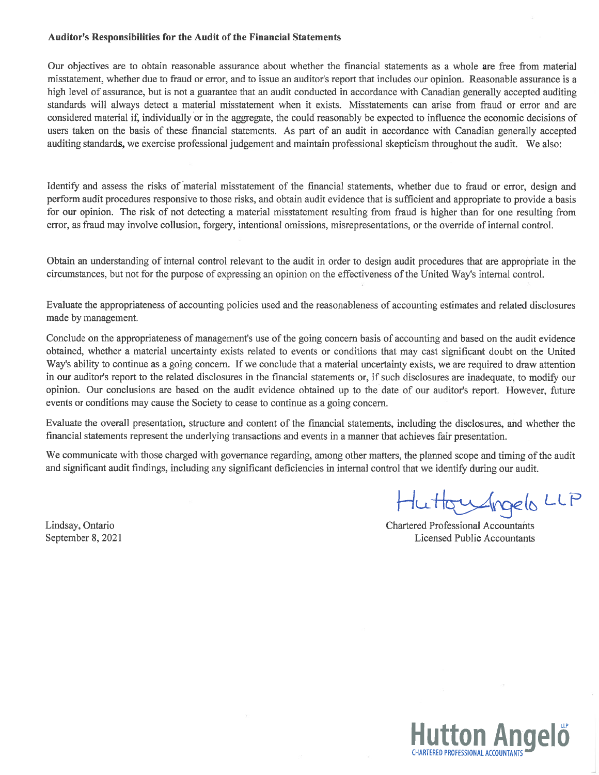#### **Auditor's Responsibilities for the Audit of the Financial Statements**

Our objectives are to obtain reasonable assurance about whether the financial statements as a whole are free from material misstatement, whether due to fraud or error, and to issue an auditor's report that includes our opinion. Reasonable assurance is a high level of assurance, but is not a guarantee that an audit conducted in accordance with Canadian generally accepted auditing standards will always detect a material misstatement when it exists. Misstatements can arise from fraud or error and are considered material if, individually or in the aggregate, the could reasonably be expected to influence the economic decisions of users taken on the basis of these financial statements. As part of an audit in accordance with Canadian generally accepted auditing standards, we exercise professional judgement and maintain professional skepticism throughout the audit. We also:

Identify and assess the risks of material misstatement of the financial statements, whether due to fraud or error, design and perform audit procedures responsive to those risks, and obtain audit evidence that is sufficient and appropriate to provide a basis for our opinion. The risk of not detecting a material misstatement resulting from fraud is higher than for one resulting from error, as fraud may involve collusion, forgery, intentional omissions, misrepresentations, or the override of internal control.

Obtain an understanding of internal control relevant to the audit in order to design audit procedures that are appropriate in the circumstances, but not for the purpose of expressing an opinion on the effectiveness of the United Way's internal control.

Evaluate the appropriateness of accounting policies used and the reasonableness of accounting estimates and related disclosures made by management.

Conclude on the appropriateness of management's use of the going concern basis of accounting and based on the audit evidence obtained, whether a material uncertainty exists related to events or conditions that may cast significant doubt on the United Way's ability to continue as a going concern. If we conclude that a material uncertainty exists, we are required to draw attention in our auditor's report to the related disclosures in the financial statements or, if such disclosures are inadequate, to modify our opinion. Our conclusions are based on the audit evidence obtained up to the date of our auditor's report. However, future events or conditions may cause the Society to cease to continue as a going concern.

Evaluate the overall presentation, structure and content of the financial statements, including the disclosures, and whether the financial statements represent the underlying transactions and events in a manner that achieves fair presentation.

We communicate with those charged with governance regarding, among other matters, the planned scope and timing of the audit and significant audit findings, including any significant deficiencies in internal control that we identify during our audit.

Huttou Ingelo LLP

Lindsay, Ontario September 8, 2021

**Chartered Professional Accountants Licensed Public Accountants** 

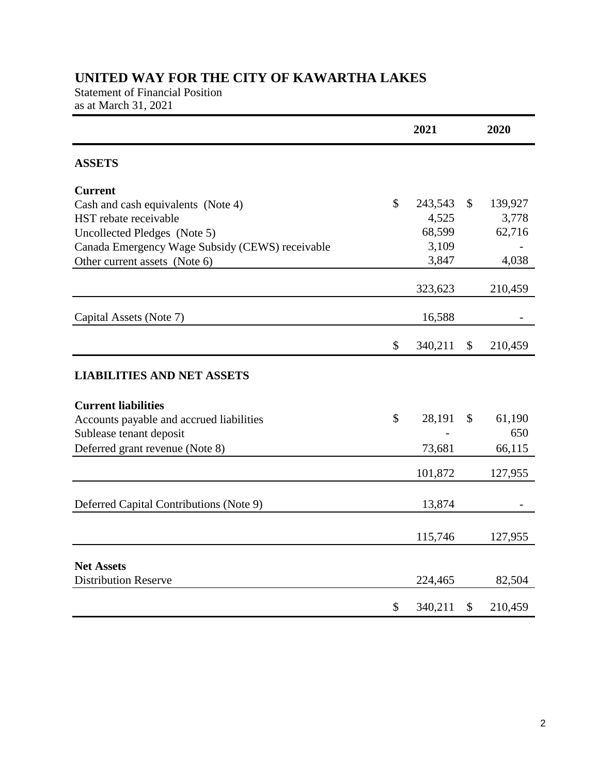Statement of Financial Position as at March 31, 2021

|                                                 |               | 2021    |               | 2020    |
|-------------------------------------------------|---------------|---------|---------------|---------|
| <b>ASSETS</b>                                   |               |         |               |         |
| <b>Current</b>                                  |               |         |               |         |
| Cash and cash equivalents (Note 4)              | $\mathbb{S}$  | 243,543 | $\mathcal{S}$ | 139,927 |
| HST rebate receivable                           |               | 4,525   |               | 3,778   |
| Uncollected Pledges (Note 5)                    |               | 68,599  |               | 62,716  |
| Canada Emergency Wage Subsidy (CEWS) receivable |               | 3,109   |               |         |
| Other current assets (Note 6)                   |               | 3,847   |               | 4,038   |
|                                                 |               | 323,623 |               | 210,459 |
| Capital Assets (Note 7)                         |               | 16,588  |               |         |
|                                                 |               |         |               |         |
|                                                 | \$            | 340,211 | \$            | 210,459 |
| <b>LIABILITIES AND NET ASSETS</b>               |               |         |               |         |
| <b>Current liabilities</b>                      |               |         |               |         |
| Accounts payable and accrued liabilities        | $\mathcal{S}$ | 28,191  | \$            | 61,190  |
| Sublease tenant deposit                         |               |         |               | 650     |
| Deferred grant revenue (Note 8)                 |               | 73,681  |               | 66,115  |
|                                                 |               | 101,872 |               | 127,955 |
|                                                 |               |         |               |         |
| Deferred Capital Contributions (Note 9)         |               | 13,874  |               |         |
|                                                 |               | 115,746 |               | 127,955 |
|                                                 |               |         |               |         |
| <b>Net Assets</b>                               |               |         |               |         |
| <b>Distribution Reserve</b>                     |               | 224,465 |               | 82,504  |
|                                                 | \$            | 340,211 | \$            | 210,459 |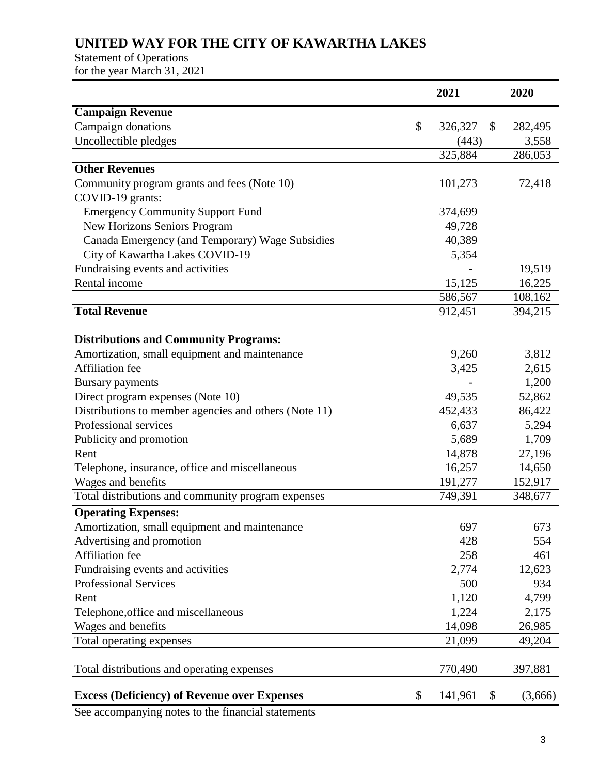Statement of Operations for the year March 31, 2021

|                                                       | 2021          |              | 2020    |
|-------------------------------------------------------|---------------|--------------|---------|
| <b>Campaign Revenue</b>                               |               |              |         |
| Campaign donations                                    | \$<br>326,327 | $\mathbb{S}$ | 282,495 |
| Uncollectible pledges                                 | (443)         |              | 3,558   |
|                                                       | 325,884       |              | 286,053 |
| <b>Other Revenues</b>                                 |               |              |         |
| Community program grants and fees (Note 10)           | 101,273       |              | 72,418  |
| COVID-19 grants:                                      |               |              |         |
| <b>Emergency Community Support Fund</b>               | 374,699       |              |         |
| <b>New Horizons Seniors Program</b>                   | 49,728        |              |         |
| Canada Emergency (and Temporary) Wage Subsidies       | 40,389        |              |         |
| City of Kawartha Lakes COVID-19                       | 5,354         |              |         |
| Fundraising events and activities                     |               |              | 19,519  |
| Rental income                                         | 15,125        |              | 16,225  |
|                                                       | 586,567       |              | 108,162 |
| <b>Total Revenue</b>                                  | 912,451       |              | 394,215 |
| <b>Distributions and Community Programs:</b>          |               |              |         |
| Amortization, small equipment and maintenance         | 9,260         |              | 3,812   |
| Affiliation fee                                       | 3,425         |              | 2,615   |
| Bursary payments                                      |               |              | 1,200   |
| Direct program expenses (Note 10)                     | 49,535        |              | 52,862  |
| Distributions to member agencies and others (Note 11) | 452,433       |              | 86,422  |
| Professional services                                 | 6,637         |              | 5,294   |
| Publicity and promotion                               | 5,689         |              | 1,709   |
| Rent                                                  | 14,878        |              | 27,196  |
| Telephone, insurance, office and miscellaneous        | 16,257        |              | 14,650  |
| Wages and benefits                                    | 191,277       |              | 152,917 |
| Total distributions and community program expenses    | 749,391       |              | 348,677 |
| <b>Operating Expenses:</b>                            |               |              |         |
| Amortization, small equipment and maintenance         | 697           |              | 673     |
| Advertising and promotion                             | 428           |              | 554     |
| Affiliation fee                                       | 258           |              | 461     |
| Fundraising events and activities                     | 2,774         |              | 12,623  |
| <b>Professional Services</b>                          | 500           |              | 934     |
| Rent                                                  | 1,120         |              | 4,799   |
| Telephone, office and miscellaneous                   | 1,224         |              | 2,175   |
| Wages and benefits                                    | 14,098        |              | 26,985  |
| Total operating expenses                              | 21,099        |              | 49,204  |
|                                                       |               |              |         |
| Total distributions and operating expenses            | 770,490       |              | 397,881 |
| <b>Excess (Deficiency) of Revenue over Expenses</b>   | \$<br>141,961 | \$           | (3,666) |

See accompanying notes to the financial statements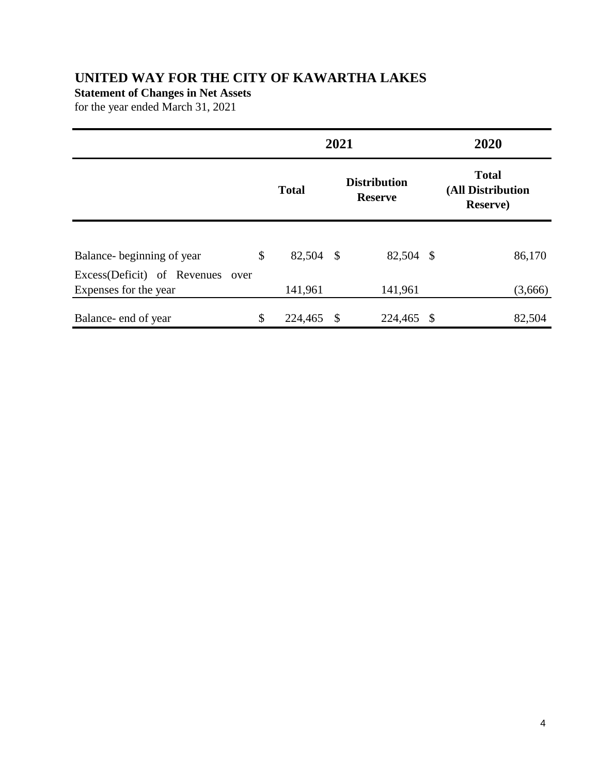**Statement of Changes in Net Assets**

for the year ended March 31, 2021

|                                                              |                 | 2021          |                                       | 2020 |                                                       |  |  |
|--------------------------------------------------------------|-----------------|---------------|---------------------------------------|------|-------------------------------------------------------|--|--|
|                                                              | <b>Total</b>    |               | <b>Distribution</b><br><b>Reserve</b> |      | <b>Total</b><br>(All Distribution<br><b>Reserve</b> ) |  |  |
| Balance-beginning of year                                    | \$<br>82,504 \$ |               | 82,504 \$                             |      | 86,170                                                |  |  |
| Excess(Deficit) of Revenues<br>over<br>Expenses for the year | 141,961         |               | 141,961                               |      | (3,666)                                               |  |  |
| Balance- end of year                                         | \$<br>224,465   | <sup>\$</sup> | 224,465 \$                            |      | 82,504                                                |  |  |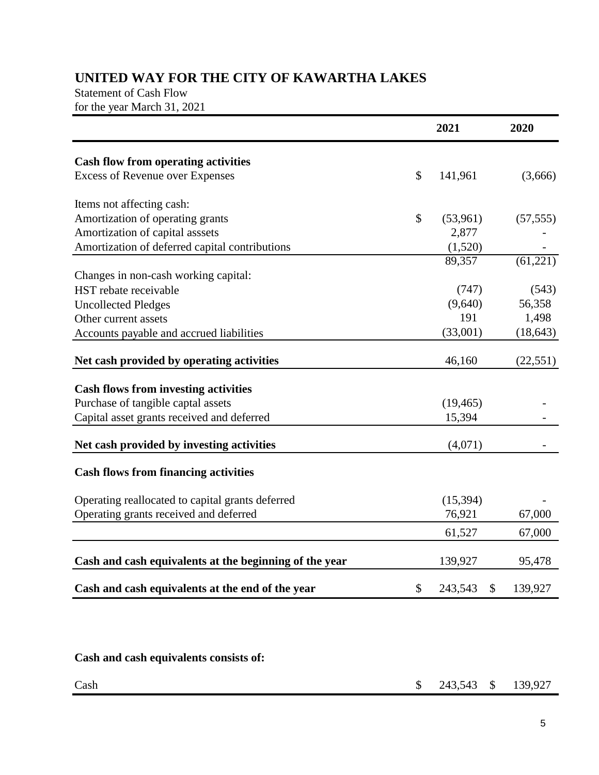Statement of Cash Flow for the year March 31, 2021

| $\mathcal{S}$ | 141,961       | (3,666)   |
|---------------|---------------|-----------|
|               |               |           |
| \$            | (53,961)      | (57, 555) |
|               | 2,877         |           |
|               | (1,520)       |           |
|               | 89,357        | (61,221)  |
|               |               |           |
|               | (747)         | (543)     |
|               | (9,640)       | 56,358    |
|               | 191           | 1,498     |
|               | (33,001)      | (18, 643) |
|               | 46,160        | (22, 551) |
|               |               |           |
|               | (19, 465)     |           |
|               | 15,394        |           |
|               | (4,071)       |           |
|               |               |           |
|               | (15, 394)     |           |
|               | 76,921        | 67,000    |
|               | 61,527        | 67,000    |
|               | 139,927       | 95,478    |
| \$            | 243,543<br>\$ | 139,927   |
|               |               |           |

**Cash and cash equivalents consists of:**

| Cash | 243,543 | τD. | 139,927 |
|------|---------|-----|---------|
|      |         |     |         |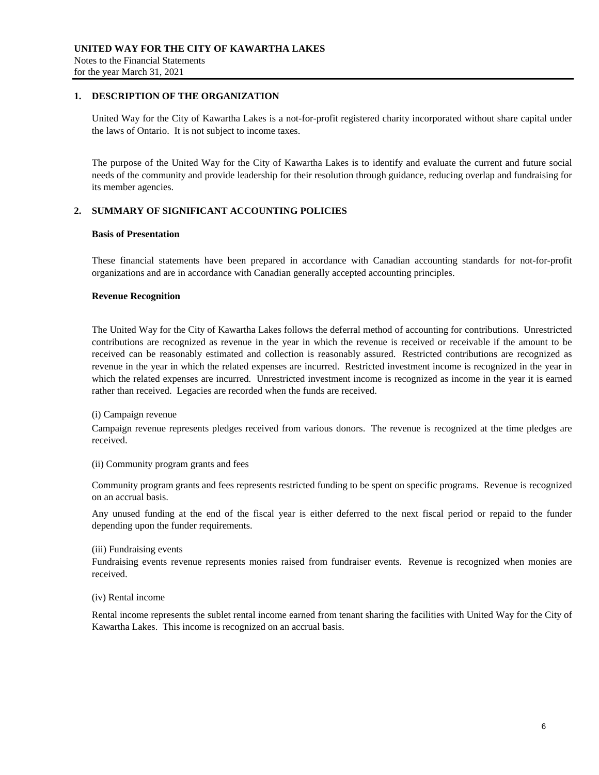#### **1. DESCRIPTION OF THE ORGANIZATION**

United Way for the City of Kawartha Lakes is a not-for-profit registered charity incorporated without share capital under the laws of Ontario. It is not subject to income taxes.

The purpose of the United Way for the City of Kawartha Lakes is to identify and evaluate the current and future social needs of the community and provide leadership for their resolution through guidance, reducing overlap and fundraising for its member agencies.

#### **2. SUMMARY OF SIGNIFICANT ACCOUNTING POLICIES**

#### **Basis of Presentation**

These financial statements have been prepared in accordance with Canadian accounting standards for not-for-profit organizations and are in accordance with Canadian generally accepted accounting principles.

#### **Revenue Recognition**

The United Way for the City of Kawartha Lakes follows the deferral method of accounting for contributions. Unrestricted contributions are recognized as revenue in the year in which the revenue is received or receivable if the amount to be received can be reasonably estimated and collection is reasonably assured. Restricted contributions are recognized as revenue in the year in which the related expenses are incurred. Restricted investment income is recognized in the year in which the related expenses are incurred. Unrestricted investment income is recognized as income in the year it is earned rather than received. Legacies are recorded when the funds are received.

#### (i) Campaign revenue

Campaign revenue represents pledges received from various donors. The revenue is recognized at the time pledges are received.

(ii) Community program grants and fees

Community program grants and fees represents restricted funding to be spent on specific programs. Revenue is recognized on an accrual basis.

Any unused funding at the end of the fiscal year is either deferred to the next fiscal period or repaid to the funder depending upon the funder requirements.

#### (iii) Fundraising events

Fundraising events revenue represents monies raised from fundraiser events. Revenue is recognized when monies are received.

#### (iv) Rental income

Rental income represents the sublet rental income earned from tenant sharing the facilities with United Way for the City of Kawartha Lakes. This income is recognized on an accrual basis.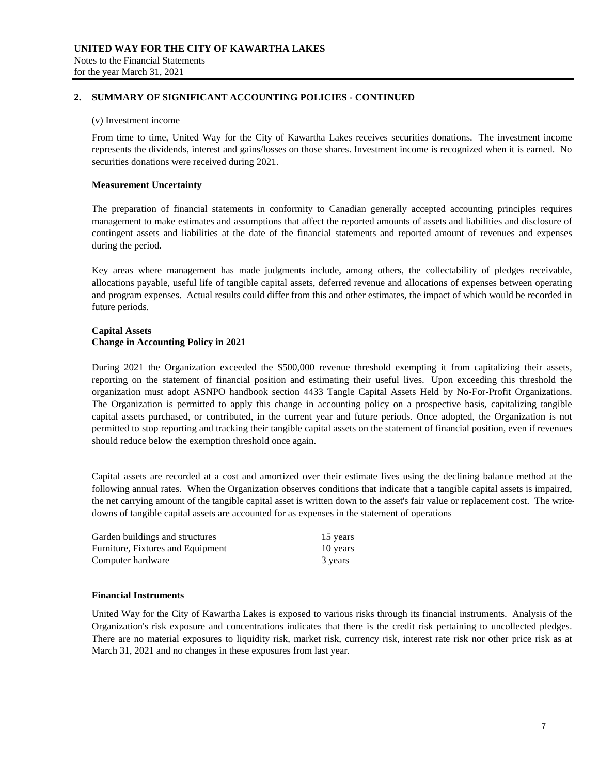#### **2. SUMMARY OF SIGNIFICANT ACCOUNTING POLICIES - CONTINUED**

#### (v) Investment income

From time to time, United Way for the City of Kawartha Lakes receives securities donations. The investment income represents the dividends, interest and gains/losses on those shares. Investment income is recognized when it is earned. No securities donations were received during 2021.

#### **Measurement Uncertainty**

The preparation of financial statements in conformity to Canadian generally accepted accounting principles requires management to make estimates and assumptions that affect the reported amounts of assets and liabilities and disclosure of contingent assets and liabilities at the date of the financial statements and reported amount of revenues and expenses during the period.

Key areas where management has made judgments include, among others, the collectability of pledges receivable, allocations payable, useful life of tangible capital assets, deferred revenue and allocations of expenses between operating and program expenses. Actual results could differ from this and other estimates, the impact of which would be recorded in future periods.

#### **Capital Assets Change in Accounting Policy in 2021**

During 2021 the Organization exceeded the \$500,000 revenue threshold exempting it from capitalizing their assets, reporting on the statement of financial position and estimating their useful lives. Upon exceeding this threshold the organization must adopt ASNPO handbook section 4433 Tangle Capital Assets Held by No-For-Profit Organizations. The Organization is permitted to apply this change in accounting policy on a prospective basis, capitalizing tangible capital assets purchased, or contributed, in the current year and future periods. Once adopted, the Organization is not permitted to stop reporting and tracking their tangible capital assets on the statement of financial position, even if revenues should reduce below the exemption threshold once again.

Capital assets are recorded at a cost and amortized over their estimate lives using the declining balance method at the following annual rates. When the Organization observes conditions that indicate that a tangible capital assets is impaired, the net carrying amount of the tangible capital asset is written down to the asset's fair value or replacement cost. The writedowns of tangible capital assets are accounted for as expenses in the statement of operations

| Garden buildings and structures   | 15 years |
|-----------------------------------|----------|
| Furniture, Fixtures and Equipment | 10 years |
| Computer hardware                 | 3 years  |

#### **Financial Instruments**

United Way for the City of Kawartha Lakes is exposed to various risks through its financial instruments. Analysis of the Organization's risk exposure and concentrations indicates that there is the credit risk pertaining to uncollected pledges. There are no material exposures to liquidity risk, market risk, currency risk, interest rate risk nor other price risk as at March 31, 2021 and no changes in these exposures from last year.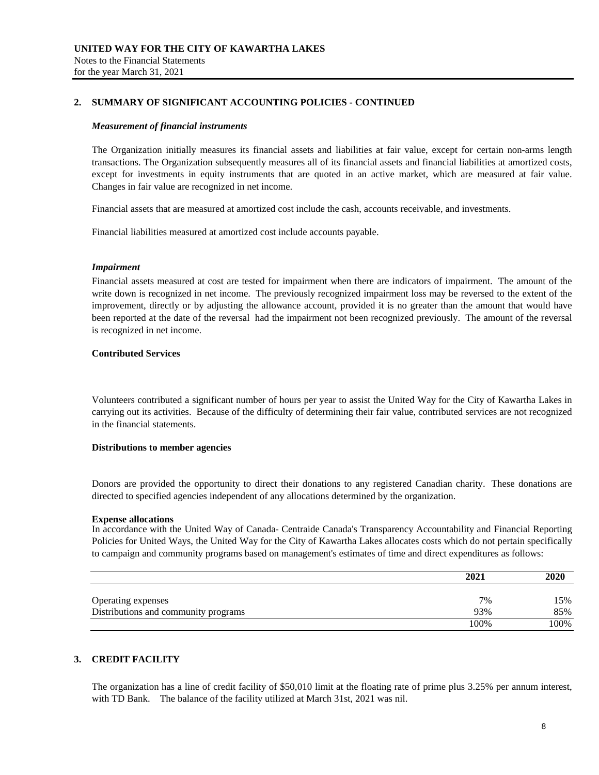#### **2. SUMMARY OF SIGNIFICANT ACCOUNTING POLICIES - CONTINUED**

#### *Measurement of financial instruments*

The Organization initially measures its financial assets and liabilities at fair value, except for certain non-arms length transactions. The Organization subsequently measures all of its financial assets and financial liabilities at amortized costs, except for investments in equity instruments that are quoted in an active market, which are measured at fair value. Changes in fair value are recognized in net income.

Financial assets that are measured at amortized cost include the cash, accounts receivable, and investments.

Financial liabilities measured at amortized cost include accounts payable.

#### *Impairment*

Financial assets measured at cost are tested for impairment when there are indicators of impairment. The amount of the write down is recognized in net income. The previously recognized impairment loss may be reversed to the extent of the improvement, directly or by adjusting the allowance account, provided it is no greater than the amount that would have been reported at the date of the reversal had the impairment not been recognized previously. The amount of the reversal is recognized in net income.

#### **Contributed Services**

Volunteers contributed a significant number of hours per year to assist the United Way for the City of Kawartha Lakes in carrying out its activities. Because of the difficulty of determining their fair value, contributed services are not recognized in the financial statements.

#### **Distributions to member agencies**

Donors are provided the opportunity to direct their donations to any registered Canadian charity. These donations are directed to specified agencies independent of any allocations determined by the organization.

#### **Expense allocations**

In accordance with the United Way of Canada- Centraide Canada's Transparency Accountability and Financial Reporting Policies for United Ways, the United Way for the City of Kawartha Lakes allocates costs which do not pertain specifically to campaign and community programs based on management's estimates of time and direct expenditures as follows:

|                                      | 2021 | 2020 |
|--------------------------------------|------|------|
|                                      |      |      |
| Operating expenses                   | 7%   | 15%  |
| Distributions and community programs | 93%  | 85%  |
|                                      | 100% | 100% |

#### **3. CREDIT FACILITY**

The organization has a line of credit facility of \$50,010 limit at the floating rate of prime plus 3.25% per annum interest, with TD Bank. The balance of the facility utilized at March 31st, 2021 was nil.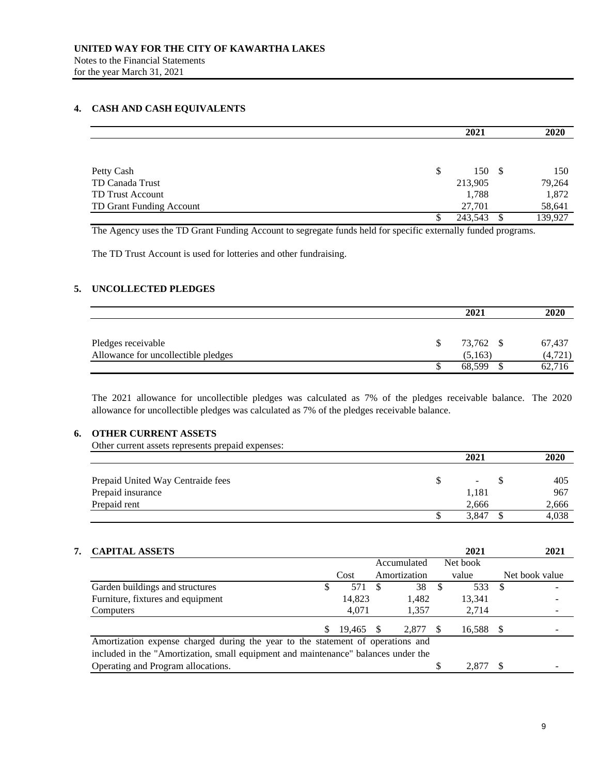#### **4. CASH AND CASH EQUIVALENTS**

|                          | 2021         | 2020 |         |
|--------------------------|--------------|------|---------|
|                          |              |      |         |
| Petty Cash               | \$<br>150 \$ |      | 150     |
| TD Canada Trust          | 213,905      |      | 79,264  |
| TD Trust Account         | 1,788        |      | 1,872   |
| TD Grant Funding Account | 27,701       |      | 58,641  |
|                          | 243,543      |      | 139,927 |

The Agency uses the TD Grant Funding Account to segregate funds held for specific externally funded programs.

The TD Trust Account is used for lotteries and other fundraising.

#### **5. UNCOLLECTED PLEDGES**

|                                     | 2021      | 2020    |
|-------------------------------------|-----------|---------|
|                                     |           |         |
| Pledges receivable                  | 73,762 \$ | 67,437  |
| Allowance for uncollectible pledges | (5,163)   | (4,721) |
|                                     | 68,599    | 62,716  |

The 2021 allowance for uncollectible pledges was calculated as 7% of the pledges receivable balance. The 2020 allowance for uncollectible pledges was calculated as 7% of the pledges receivable balance.

#### **6. OTHER CURRENT ASSETS**

Other current assets represents prepaid expenses:

|                                   | 2021                     | 2020  |
|-----------------------------------|--------------------------|-------|
| Prepaid United Way Centraide fees | $\overline{\phantom{a}}$ | 405   |
| Prepaid insurance                 | 1,181                    | 967   |
| Prepaid rent                      | 2.666                    | 2.666 |
|                                   | 3,847                    | 4,038 |

| <b>CAPITAL ASSETS</b>                                                              |        |    |              | 2021     |   | 2021           |
|------------------------------------------------------------------------------------|--------|----|--------------|----------|---|----------------|
|                                                                                    |        |    | Accumulated  | Net book |   |                |
|                                                                                    | Cost   |    | Amortization | value    |   | Net book value |
| Garden buildings and structures                                                    | 571    | -S | 38           | 533      | S |                |
| Furniture, fixtures and equipment                                                  | 14,823 |    | 1,482        | 13,341   |   |                |
| Computers                                                                          | 4.071  |    | 1.357        | 2.714    |   |                |
|                                                                                    | 19.465 |    | 2.877        | 16.588   |   |                |
| Amortization expense charged during the year to the statement of operations and    |        |    |              |          |   |                |
| included in the "Amortization, small equipment and maintenance" balances under the |        |    |              |          |   |                |
| Operating and Program allocations.                                                 |        |    |              | 2.87     |   |                |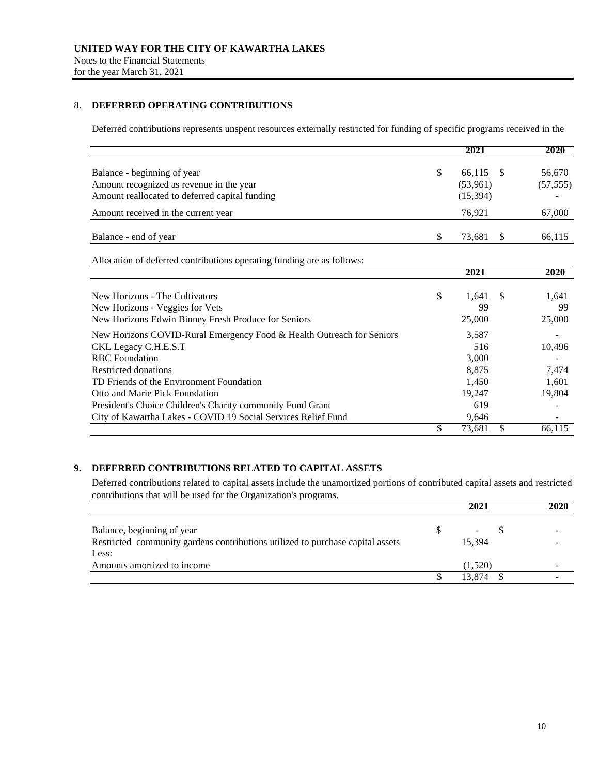#### 8. **DEFERRED OPERATING CONTRIBUTIONS**

Deferred contributions represents unspent resources externally restricted for funding of specific programs received in the

|                                                                                                                           | 2021                                  |      | 2020                |
|---------------------------------------------------------------------------------------------------------------------------|---------------------------------------|------|---------------------|
| Balance - beginning of year<br>Amount recognized as revenue in the year<br>Amount reallocated to deferred capital funding | \$<br>66,115<br>(53,961)<br>(15, 394) | - \$ | 56,670<br>(57, 555) |
| Amount received in the current year                                                                                       | 76,921                                |      | 67,000              |
| Balance - end of year                                                                                                     | \$<br>73,681                          | \$   | 66,115              |
| Allocation of deferred contributions operating funding are as follows:                                                    | 2021                                  |      | 2020                |
|                                                                                                                           |                                       |      |                     |
| New Horizons - The Cultivators                                                                                            | \$<br>1,641                           | -S   | 1,641               |
| New Horizons - Veggies for Vets                                                                                           | 99                                    |      | 99                  |
| New Horizons Edwin Binney Fresh Produce for Seniors                                                                       | 25,000                                |      | 25,000              |
| New Horizons COVID-Rural Emergency Food & Health Outreach for Seniors                                                     | 3,587                                 |      |                     |
| CKL Legacy C.H.E.S.T                                                                                                      | 516                                   |      | 10,496              |
| <b>RBC</b> Foundation                                                                                                     | 3,000                                 |      |                     |
| <b>Restricted donations</b>                                                                                               | 8,875                                 |      | 7,474               |
| TD Friends of the Environment Foundation                                                                                  | 1,450                                 |      | 1,601               |
| Otto and Marie Pick Foundation                                                                                            | 19,247                                |      | 19,804              |
| President's Choice Children's Charity community Fund Grant                                                                | 619                                   |      |                     |
| City of Kawartha Lakes - COVID 19 Social Services Relief Fund                                                             | 9,646                                 |      |                     |
|                                                                                                                           | \$<br>73,681                          | \$   | 66,115              |

#### **9. DEFERRED CONTRIBUTIONS RELATED TO CAPITAL ASSETS**

Deferred contributions related to capital assets include the unamortized portions of contributed capital assets and restricted contributions that will be used for the Organization's programs.

|                                                                                | 2021 |         | 2020 |
|--------------------------------------------------------------------------------|------|---------|------|
| Balance, beginning of year                                                     |      |         |      |
| Restricted community gardens contributions utilized to purchase capital assets |      | 15,394  |      |
| Less:                                                                          |      |         |      |
| Amounts amortized to income                                                    |      | (1,520) |      |
|                                                                                |      | 13.874  |      |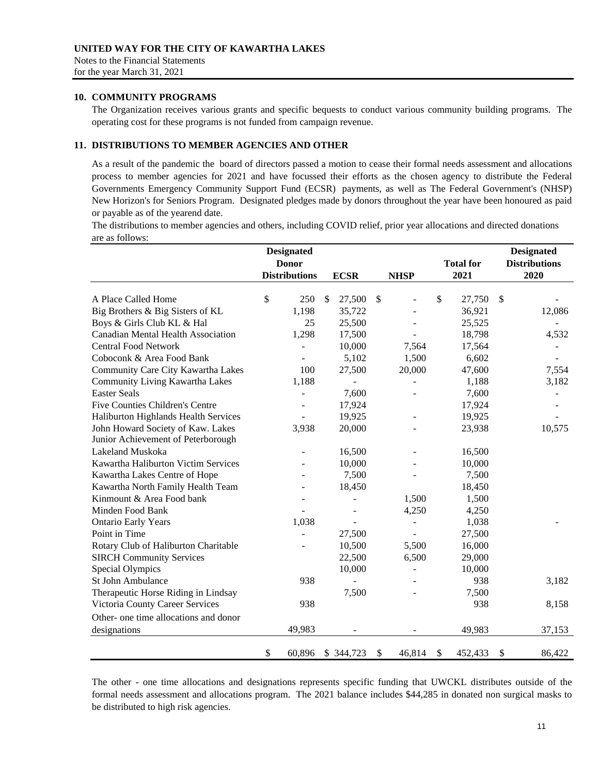Notes to the Financial Statements for the year March 31, 2021

#### **10. COMMUNITY PROGRAMS**

The Organization receives various grants and specific bequests to conduct various community building programs. The operating cost for these programs is not funded from campaign revenue.

#### **11. DISTRIBUTIONS TO MEMBER AGENCIES AND OTHER**

As a result of the pandemic the board of directors passed a motion to cease their formal needs assessment and allocations process to member agencies for 2021 and have focussed their efforts as the chosen agency to distribute the Federal Governments Emergency Community Support Fund (ECSR) payments, as well as The Federal Government's (NHSP) New Horizon's for Seniors Program. Designated pledges made by donors throughout the year have been honoured as paid or payable as of the yearend date.

**Allocated &**  The distributions to member agencies and others, including COVID relief, prior year allocations and directed donations are as follows:

|                                           | <b>Designated</b>    |              |             |                |                  | <b>Designated</b>    |
|-------------------------------------------|----------------------|--------------|-------------|----------------|------------------|----------------------|
|                                           | <b>Donor</b>         |              |             |                | <b>Total for</b> | <b>Distributions</b> |
|                                           | <b>Distributions</b> |              | <b>ECSR</b> | <b>NHSP</b>    | 2021             | 2020                 |
|                                           |                      |              |             |                |                  |                      |
| A Place Called Home                       | \$<br>250            | $\mathbb{S}$ | 27,500      | \$             | \$<br>27,750     | \$                   |
| Big Brothers & Big Sisters of KL          | 1,198                |              | 35,722      |                | 36,921           | 12,086               |
| Boys & Girls Club KL & Hal                | 25                   |              | 25,500      |                | 25,525           |                      |
| <b>Canadian Mental Health Association</b> | 1,298                |              | 17,500      |                | 18,798           | 4,532                |
| <b>Central Food Network</b>               | ÷,                   |              | 10,000      | 7,564          | 17,564           |                      |
| Coboconk & Area Food Bank                 |                      |              | 5,102       | 1,500          | 6,602            |                      |
| Community Care City Kawartha Lakes        | 100                  |              | 27,500      | 20,000         | 47,600           | 7,554                |
| Community Living Kawartha Lakes           | 1,188                |              |             |                | 1,188            | 3,182                |
| <b>Easter Seals</b>                       |                      |              | 7,600       |                | 7,600            |                      |
| <b>Five Counties Children's Centre</b>    |                      |              | 17,924      |                | 17,924           |                      |
| Haliburton Highlands Health Services      |                      |              | 19,925      |                | 19,925           |                      |
| John Howard Society of Kaw. Lakes         | 3,938                |              | 20,000      |                | 23,938           | 10,575               |
| Junior Achievement of Peterborough        |                      |              |             |                |                  |                      |
| Lakeland Muskoka                          |                      |              | 16,500      |                | 16,500           |                      |
| Kawartha Haliburton Victim Services       |                      |              | 10,000      |                | 10,000           |                      |
| Kawartha Lakes Centre of Hope             |                      |              | 7,500       |                | 7,500            |                      |
| Kawartha North Family Health Team         |                      |              | 18,450      |                | 18,450           |                      |
| Kinmount & Area Food bank                 | ÷                    |              | Ĺ,          | 1,500          | 1,500            |                      |
| Minden Food Bank                          |                      |              |             | 4,250          | 4,250            |                      |
| <b>Ontario Early Years</b>                | 1,038                |              |             | $\overline{a}$ | 1,038            |                      |
| Point in Time                             |                      |              | 27,500      |                | 27,500           |                      |
| Rotary Club of Haliburton Charitable      |                      |              | 10,500      | 5,500          | 16,000           |                      |
| <b>SIRCH Community Services</b>           |                      |              | 22,500      | 6,500          | 29,000           |                      |
| Special Olympics                          |                      |              | 10,000      |                | 10,000           |                      |
| St John Ambulance                         | 938                  |              |             |                | 938              | 3,182                |
| Therapeutic Horse Riding in Lindsay       |                      |              | 7,500       |                | 7,500            |                      |
| Victoria County Career Services           | 938                  |              |             |                | 938              | 8,158                |
| Other- one time allocations and donor     |                      |              |             |                |                  |                      |
| designations                              | 49,983               |              |             |                | 49,983           | 37,153               |
|                                           | \$<br>60,896         |              | \$ 344,723  | \$<br>46,814   | \$<br>452,433    | \$<br>86,422         |

The other - one time allocations and designations represents specific funding that UWCKL distributes outside of the formal needs assessment and allocations program. The 2021 balance includes \$44,285 in donated non surgical masks to be distributed to high risk agencies.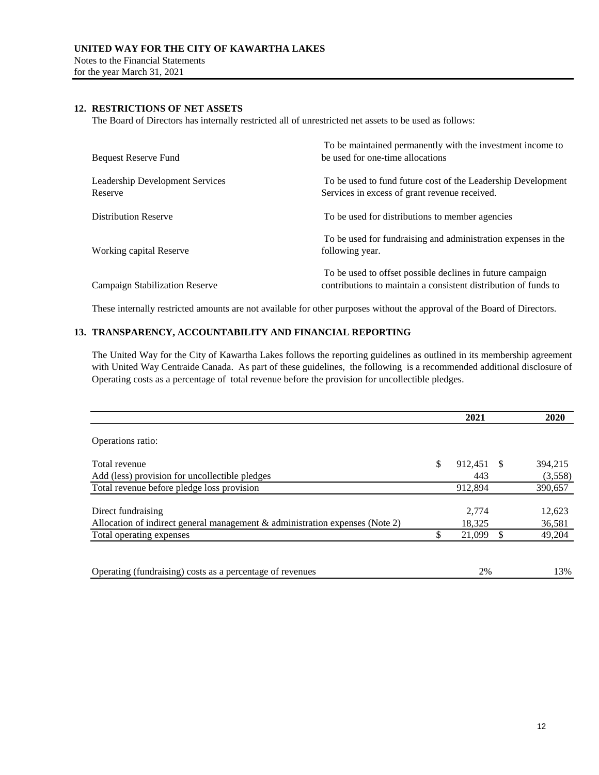#### **12. RESTRICTIONS OF NET ASSETS**

The Board of Directors has internally restricted all of unrestricted net assets to be used as follows:

| <b>Bequest Reserve Fund</b>                | To be maintained permanently with the investment income to<br>be used for one-time allocations                               |
|--------------------------------------------|------------------------------------------------------------------------------------------------------------------------------|
| Leadership Development Services<br>Reserve | To be used to fund future cost of the Leadership Development<br>Services in excess of grant revenue received.                |
| <b>Distribution Reserve</b>                | To be used for distributions to member agencies                                                                              |
| Working capital Reserve                    | To be used for fundraising and administration expenses in the<br>following year.                                             |
| <b>Campaign Stabilization Reserve</b>      | To be used to offset possible declines in future campaign<br>contributions to maintain a consistent distribution of funds to |

These internally restricted amounts are not available for other purposes without the approval of the Board of Directors.

#### **13. TRANSPARENCY, ACCOUNTABILITY AND FINANCIAL REPORTING**

The United Way for the City of Kawartha Lakes follows the reporting guidelines as outlined in its membership agreement with United Way Centraide Canada. As part of these guidelines, the following is a recommended additional disclosure of Operating costs as a percentage of total revenue before the provision for uncollectible pledges.

|                                                                                 | 2021             |               | 2020    |
|---------------------------------------------------------------------------------|------------------|---------------|---------|
| Operations ratio:                                                               |                  |               |         |
| Total revenue                                                                   | \$<br>912,451 \$ |               | 394,215 |
| Add (less) provision for uncollectible pledges                                  | 443              |               | (3,558) |
| Total revenue before pledge loss provision                                      | 912.894          |               | 390,657 |
| Direct fundraising                                                              | 2.774            |               | 12,623  |
| Allocation of indirect general management $\&$ administration expenses (Note 2) | 18,325           |               | 36,581  |
| Total operating expenses                                                        | \$<br>21,099     | <sup>\$</sup> | 49,204  |
|                                                                                 |                  |               |         |
| Operating (fundraising) costs as a percentage of revenues                       | 2%               |               | 13%     |